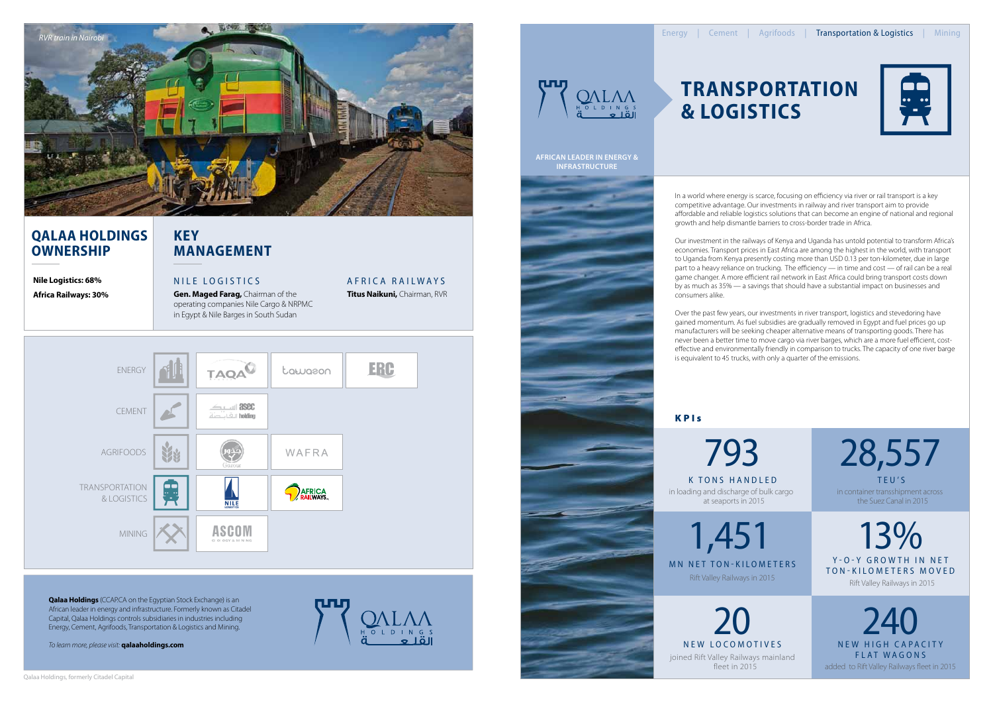

In a world where energy is scarce, focusing on efficiency via river or rail transport is a key competitive advantage. Our investments in railway and river transport aim to provide affordable and reliable logistics solutions that can become an engine of national and regional growth and help dismantle barriers to cross-border trade in Africa.

## **Qalaa Holdings OWNERSHIP**

Our investment in the railways of Kenya and Uganda has untold potential to transform Africa's economies. Transport prices in East Africa are among the highest in the world, with transport to Uganda from Kenya presently costing more than USD 0.13 per ton-kilometer, due in large part to a heavy reliance on trucking. The efficiency — in time and cost — of rail can be a real game changer. A more efficient rail network in East Africa could bring transport costs down by as much as 35% — a savings that should have a substantial impact on businesses and consumers alike.

**Qalaa Holdings** (CCAP.CA on the Egyptian Stock Exchange) is an African leader in energy and infrastructure. Formerly known as Citadel Capital, Qalaa Holdings controls subsidiaries in industries including Energy, Cement, Agrifoods, Transportation & Logistics and Mining.

Over the past few years, our investments in river transport, logistics and stevedoring have gained momentum. As fuel subsidies are gradually removed in Egypt and fuel prices go up manufacturers will be seeking cheaper alternative means of transporting goods. There has never been a better time to move cargo via river barges, which are a more fuel efficient, costeffective and environmentally friendly in comparison to trucks. The capacity of one river barge is equivalent to 45 trucks, with only a quarter of the emissions.

## **KPIs**

# **Transportation & Logistics**



## **Key Management**

## Af rica R ailways

**Titus Naikuni,** Chairman, RVR

**Gen. Maged Farag,** Chairman of the operating companies Nile Cargo & NRPMC in Egypt & Nile Barges in South Sudan

### **Nile Logistics: 68% Africa Railways: 30%**

## NILE LOGISTICS

#### **African Leader in energy & Infrastructure**

*To learn more, please visit:* **qalaaholdings.com**



# $\begin{array}{c}\n\mathbf{0} \\
\mathbf{1} \\
\mathbf{0} \\
\mathbf{1} \\
\mathbf{0}\n\end{array}$